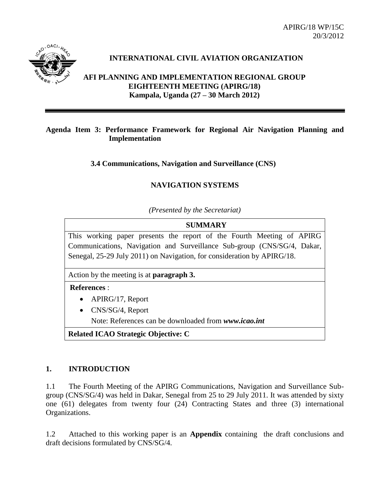APIRG/18 WP/15C 20/3/2012



# **INTERNATIONAL CIVIL AVIATION ORGANIZATION**

**AFI PLANNING AND IMPLEMENTATION REGIONAL GROUP EIGHTEENTH MEETING (APIRG/18) Kampala, Uganda (27 – 30 March 2012)**

### **Agenda Item 3: Performance Framework for Regional Air Navigation Planning and Implementation**

**3.4 Communications, Navigation and Surveillance (CNS)**

# **NAVIGATION SYSTEMS**

*(Presented by the Secretariat)*

**SUMMARY** This working paper presents the report of the Fourth Meeting of APIRG Communications, Navigation and Surveillance Sub-group (CNS/SG/4, Dakar, Senegal, 25-29 July 2011) on Navigation, for consideration by APIRG/18.

Action by the meeting is at **paragraph 3.**

**References** :

- APIRG/17, Report
- CNS/SG/4, Report

Note: References can be downloaded from *www.icao.int*

**Related ICAO Strategic Objective: C**

# **1. INTRODUCTION**

1.1 The Fourth Meeting of the APIRG Communications, Navigation and Surveillance Subgroup (CNS/SG/4) was held in Dakar, Senegal from 25 to 29 July 2011. It was attended by sixty one (61) delegates from twenty four (24) Contracting States and three (3) international Organizations.

1.2 Attached to this working paper is an **Appendix** containing the draft conclusions and draft decisions formulated by CNS/SG/4.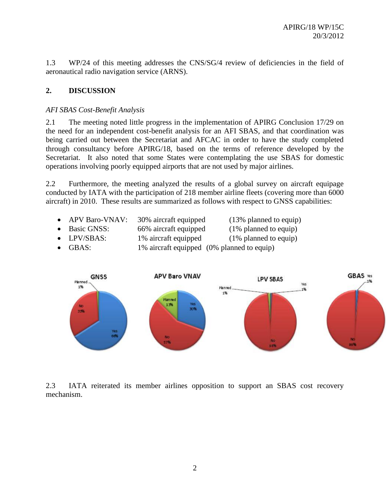1.3 WP/24 of this meeting addresses the CNS/SG/4 review of deficiencies in the field of aeronautical radio navigation service (ARNS).

# **2. DISCUSSION**

## *AFI SBAS Cost-Benefit Analysis*

2.1 The meeting noted little progress in the implementation of APIRG Conclusion 17/29 on the need for an independent cost-benefit analysis for an AFI SBAS, and that coordination was being carried out between the Secretariat and AFCAC in order to have the study completed through consultancy before APIRG/18, based on the terms of reference developed by the Secretariat. It also noted that some States were contemplating the use SBAS for domestic operations involving poorly equipped airports that are not used by major airlines.

2.2 Furthermore, the meeting analyzed the results of a global survey on aircraft equipage conducted by IATA with the participation of 218 member airline fleets (covering more than 6000 aircraft) in 2010. These results are summarized as follows with respect to GNSS capabilities:

- APV Baro-VNAV: 30% aircraft equipped (13% planned to equip) Basic GNSS: 66% aircraft equipped (1% planned to equip) • LPV/SBAS: 1% aircraft equipped (1% planned to equip)
- GBAS: 1% aircraft equipped (0% planned to equip)



2.3 IATA reiterated its member airlines opposition to support an SBAS cost recovery mechanism.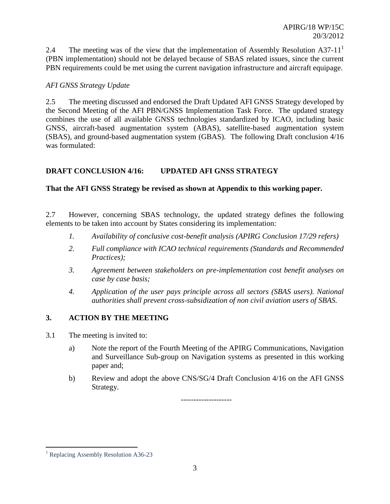2.4 The meeting was of the view that the implementation of Assembly Resolution  $A37-11<sup>1</sup>$ (PBN implementation) should not be delayed because of SBAS related issues, since the current PBN requirements could be met using the current navigation infrastructure and aircraft equipage.

# *AFI GNSS Strategy Update*

2.5 The meeting discussed and endorsed the Draft Updated AFI GNSS Strategy developed by the Second Meeting of the AFI PBN/GNSS Implementation Task Force. The updated strategy combines the use of all available GNSS technologies standardized by ICAO, including basic GNSS, aircraft-based augmentation system (ABAS), satellite-based augmentation system (SBAS), and ground-based augmentation system (GBAS). The following Draft conclusion 4/16 was formulated:

# **DRAFT CONCLUSION 4/16: UPDATED AFI GNSS STRATEGY**

# **That the AFI GNSS Strategy be revised as shown at Appendix to this working paper.**

2.7 However, concerning SBAS technology, the updated strategy defines the following elements to be taken into account by States considering its implementation:

- *1. Availability of conclusive cost-benefit analysis (APIRG Conclusion 17/29 refers)*
- *2. Full compliance with ICAO technical requirements (Standards and Recommended Practices);*
- *3. Agreement between stakeholders on pre-implementation cost benefit analyses on case by case basis;*
- *4. Application of the user pays principle across all sectors (SBAS users). National authorities shall prevent cross-subsidization of non civil aviation users of SBAS.*

# **3. ACTION BY THE MEETING**

- 3.1 The meeting is invited to:
	- a) Note the report of the Fourth Meeting of the APIRG Communications, Navigation and Surveillance Sub-group on Navigation systems as presented in this working paper and;
	- b) Review and adopt the above CNS/SG/4 Draft Conclusion 4/16 on the AFI GNSS Strategy.

--------------------

 $\overline{a}$ 

<sup>&</sup>lt;sup>1</sup> Replacing Assembly Resolution A36-23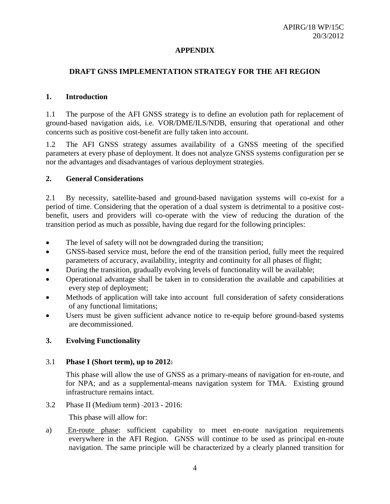### **APPENDIX**

## **DRAFT GNSS IMPLEMENTATION STRATEGY FOR THE AFI REGION**

#### **1. Introduction**

1.1 The purpose of the AFI GNSS strategy is to define an evolution path for replacement of ground-based navigation aids, i.e. VOR/DME/ILS/NDB, ensuring that operational and other concerns such as positive cost-benefit are fully taken into account.

1.2 The AFI GNSS strategy assumes availability of a GNSS meeting of the specified parameters at every phase of deployment. It does not analyze GNSS systems configuration per se nor the advantages and disadvantages of various deployment strategies.

#### **2. General Considerations**

2.1 By necessity, satellite-based and ground-based navigation systems will co-exist for a period of time. Considering that the operation of a dual system is detrimental to a positive costbenefit, users and providers will co-operate with the view of reducing the duration of the transition period as much as possible, having due regard for the following principles:

- The level of safety will not be downgraded during the transition;
- GNSS-based service must, before the end of the transition period, fully meet the required parameters of accuracy, availability, integrity and continuity for all phases of flight;
- During the transition, gradually evolving levels of functionality will be available;
- Operational advantage shall be taken in to consideration the available and capabilities at every step of deployment;
- Methods of application will take into account full consideration of safety considerations of any functional limitations;
- Users must be given sufficient advance notice to re-equip before ground-based systems are decommissioned.

### **3. Evolving Functionality**

#### 3.1 **Phase I (Short term), up to 2012**:

This phase will allow the use of GNSS as a primary-means of navigation for en-route, and for NPA; and as a supplemental-means navigation system for TMA. Existing ground infrastructure remains intact.

3.2 Phase II (Medium term) 2013 - 2016:

This phase will allow for:

a) En-route phase: sufficient capability to meet en-route navigation requirements everywhere in the AFI Region. GNSS will continue to be used as principal en-route navigation. The same principle will be characterized by a clearly planned transition for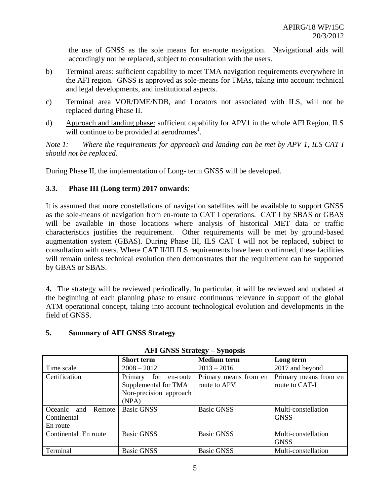the use of GNSS as the sole means for en-route navigation. Navigational aids will accordingly not be replaced, subject to consultation with the users.

- b) Terminal areas: sufficient capability to meet TMA navigation requirements everywhere in the AFI region. GNSS is approved as sole-means for TMAs, taking into account technical and legal developments, and institutional aspects.
- c) Terminal area VOR/DME/NDB, and Locators not associated with ILS, will not be replaced during Phase II.
- d) Approach and landing phase: sufficient capability for APV1 in the whole AFI Region. ILS will continue to be provided at aerodromes<sup>1</sup>.

*Note 1: Where the requirements for approach and landing can be met by APV 1, ILS CAT I should not be replaced.*

During Phase II, the implementation of Long- term GNSS will be developed.

## **3.3. Phase III (Long term) 2017 onwards**:

It is assumed that more constellations of navigation satellites will be available to support GNSS as the sole-means of navigation from en-route to CAT I operations. CAT I by SBAS or GBAS will be available in those locations where analysis of historical MET data or traffic characteristics justifies the requirement. Other requirements will be met by ground-based augmentation system (GBAS). During Phase III, ILS CAT I will not be replaced, subject to consultation with users. Where CAT II/III ILS requirements have been confirmed, these facilities will remain unless technical evolution then demonstrates that the requirement can be supported by GBAS or SBAS.

**4.** The strategy will be reviewed periodically. In particular, it will be reviewed and updated at the beginning of each planning phase to ensure continuous relevance in support of the global ATM operational concept, taking into account technological evolution and developments in the field of GNSS.

### **5. Summary of AFI GNSS Strategy**

| $\tilde{\phantom{a}}$    |                            |                       |                       |  |
|--------------------------|----------------------------|-----------------------|-----------------------|--|
|                          | <b>Short term</b>          | <b>Medium</b> term    | Long term             |  |
| Time scale               | $2008 - 2012$              | $2013 - 2016$         | 2017 and beyond       |  |
| Certification            | for<br>Primary<br>en-route | Primary means from en | Primary means from en |  |
|                          | Supplemental for TMA       | route to APV          | route to CAT-I        |  |
|                          | Non-precision approach     |                       |                       |  |
|                          | (NPA)                      |                       |                       |  |
| Oceanic<br>Remote<br>and | <b>Basic GNSS</b>          | <b>Basic GNSS</b>     | Multi-constellation   |  |
| Continental              |                            |                       | <b>GNSS</b>           |  |
| En route                 |                            |                       |                       |  |
| Continental En route     | <b>Basic GNSS</b>          | <b>Basic GNSS</b>     | Multi-constellation   |  |
|                          |                            |                       | <b>GNSS</b>           |  |
| Terminal                 | <b>Basic GNSS</b>          | <b>Basic GNSS</b>     | Multi-constellation   |  |

#### **AFI GNSS Strategy – Synopsis**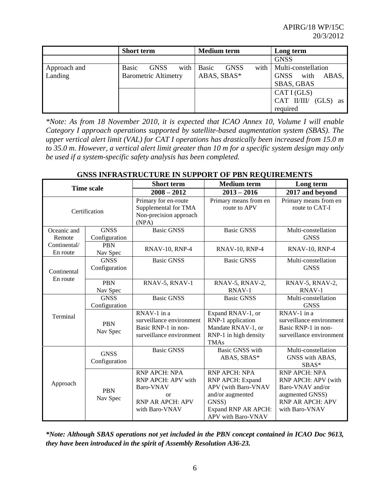|              | <b>Short term</b>                     | <b>Medium</b> term           | Long term                    |
|--------------|---------------------------------------|------------------------------|------------------------------|
|              |                                       |                              | <b>GNSS</b>                  |
| Approach and | with  <br><b>Basic</b><br><b>GNSS</b> | with<br>Basic<br><b>GNSS</b> | Multi-constellation          |
| Landing      | <b>Barometric Altimetry</b>           | ABAS, SBAS*                  | with<br><b>GNSS</b><br>ABAS, |
|              |                                       |                              | <b>SBAS, GBAS</b>            |
|              |                                       |                              | CAT I (GLS)                  |
|              |                                       |                              | CAT II/III/ $(GLS)$ as       |
|              |                                       |                              | required                     |

*\*Note: As from 18 November 2010, it is expected that ICAO Annex 10, Volume I will enable Category I approach operations supported by satellite-based augmentation system (SBAS). The upper vertical alert limit (VAL) for CAT I operations has drastically been increased from 15.0 m to 35.0 m. However, a vertical alert limit greater than 10 m for a specific system design may only be used if a system-specific safety analysis has been completed.*

| GNSS INFRASTRUCTURE IN SUPPORT OF PBN REQUIREMENTS |  |
|----------------------------------------------------|--|
|----------------------------------------------------|--|

| <b>Time scale</b>        |                              | <b>Short term</b>                                                                                              | <b>Medium</b> term                                                                                                                 | Long term                                                                                                                |
|--------------------------|------------------------------|----------------------------------------------------------------------------------------------------------------|------------------------------------------------------------------------------------------------------------------------------------|--------------------------------------------------------------------------------------------------------------------------|
|                          |                              | $2008 - 2012$                                                                                                  | $2013 - 2016$                                                                                                                      | 2017 and beyond                                                                                                          |
| Certification            |                              | Primary for en-route<br>Supplemental for TMA<br>Non-precision approach<br>(NPA)                                | Primary means from en<br>route to APV                                                                                              | Primary means from en<br>route to CAT-I                                                                                  |
| Oceanic and<br>Remote    | <b>GNSS</b><br>Configuration | <b>Basic GNSS</b>                                                                                              | <b>Basic GNSS</b>                                                                                                                  | Multi-constellation<br><b>GNSS</b>                                                                                       |
| Continental/<br>En route | <b>PBN</b><br>Nav Spec       | $RNAV-10$ , $RNP-4$                                                                                            | $RNAV-10$ , $RNP-4$                                                                                                                | <b>RNAV-10, RNP-4</b>                                                                                                    |
| Continental<br>En route  | <b>GNSS</b><br>Configuration | <b>Basic GNSS</b>                                                                                              | <b>Basic GNSS</b>                                                                                                                  | Multi-constellation<br><b>GNSS</b>                                                                                       |
|                          | <b>PBN</b><br>Nav Spec       | RNAV-5, RNAV-1                                                                                                 | RNAV-5, RNAV-2,<br>RNAV-1                                                                                                          | RNAV-5, RNAV-2,<br>RNAV-1                                                                                                |
| Terminal                 | <b>GNSS</b><br>Configuration | <b>Basic GNSS</b>                                                                                              | <b>Basic GNSS</b>                                                                                                                  | Multi-constellation<br><b>GNSS</b>                                                                                       |
|                          | <b>PBN</b><br>Nav Spec       | RNAV-1 in a<br>surveillance environment<br>Basic RNP-1 in non-<br>surveillance environment                     | Expand RNAV-1, or<br>RNP-1 application<br>Mandate RNAV-1, or<br>RNP-1 in high density<br><b>TMAs</b>                               | RNAV-1 in a<br>surveillance environment<br>Basic RNP-1 in non-<br>surveillance environment                               |
| Approach                 | <b>GNSS</b><br>Configuration | <b>Basic GNSS</b>                                                                                              | <b>Basic GNSS</b> with<br>ABAS, SBAS*                                                                                              | Multi-constellation<br>GNSS with ABAS,<br>$SBAS*$                                                                        |
|                          | <b>PBN</b><br>Nav Spec       | RNP APCH: NPA<br>RNP APCH: APV with<br>Baro-VNAV<br><sub>or</sub><br><b>RNP AR APCH: APV</b><br>with Baro-VNAV | RNP APCH: NPA<br>RNP APCH: Expand<br>APV (with Baro-VNAV<br>and/or augmented<br>GNSS)<br>Expand RNP AR APCH:<br>APV with Baro-VNAV | RNP APCH: NPA<br>RNP APCH: APV (with<br>Baro-VNAV and/or<br>augmented GNSS)<br><b>RNP AR APCH: APV</b><br>with Baro-VNAV |

*\*Note: Although SBAS operations not yet included in the PBN concept contained in ICAO Doc 9613, they have been introduced in the spirit of Assembly Resolution A36-23.*